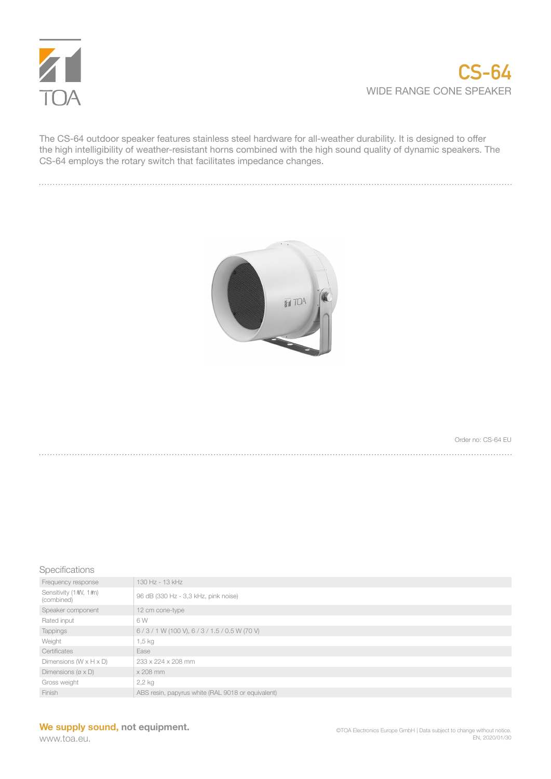

The CS-64 outdoor speaker features stainless steel hardware for all-weather durability. It is designed to offer the high intelligibility of weather-resistant horns combined with the high sound quality of dynamic speakers. The CS-64 employs the rotary switch that facilitates impedance changes.



Order no: CS-64 EU . . . . . . . . . . . . . . . . . . .

## Specifications

| Frequency response                    | 130 Hz - 13 kHz                                   |
|---------------------------------------|---------------------------------------------------|
| Sensitivity (1#V, 1#n)<br>(combined)  | 96 dB (330 Hz - 3,3 kHz, pink noise)              |
| Speaker component                     | 12 cm cone-type                                   |
| Rated input                           | 6 W                                               |
| <b>Tappings</b>                       | $6/3/1$ W (100 V), $6/3/1.5/0.5$ W (70 V)         |
| Weight                                | 1,5 kg                                            |
| Certificates                          | Ease                                              |
| Dimensions $(W \times H \times D)$    | 233 x 224 x 208 mm                                |
| Dimensions ( $\varnothing \times D$ ) | $\times$ 208 mm                                   |
| Gross weight                          | $2,2$ kg                                          |
| Finish                                | ABS resin, papyrus white (RAL 9018 or equivalent) |